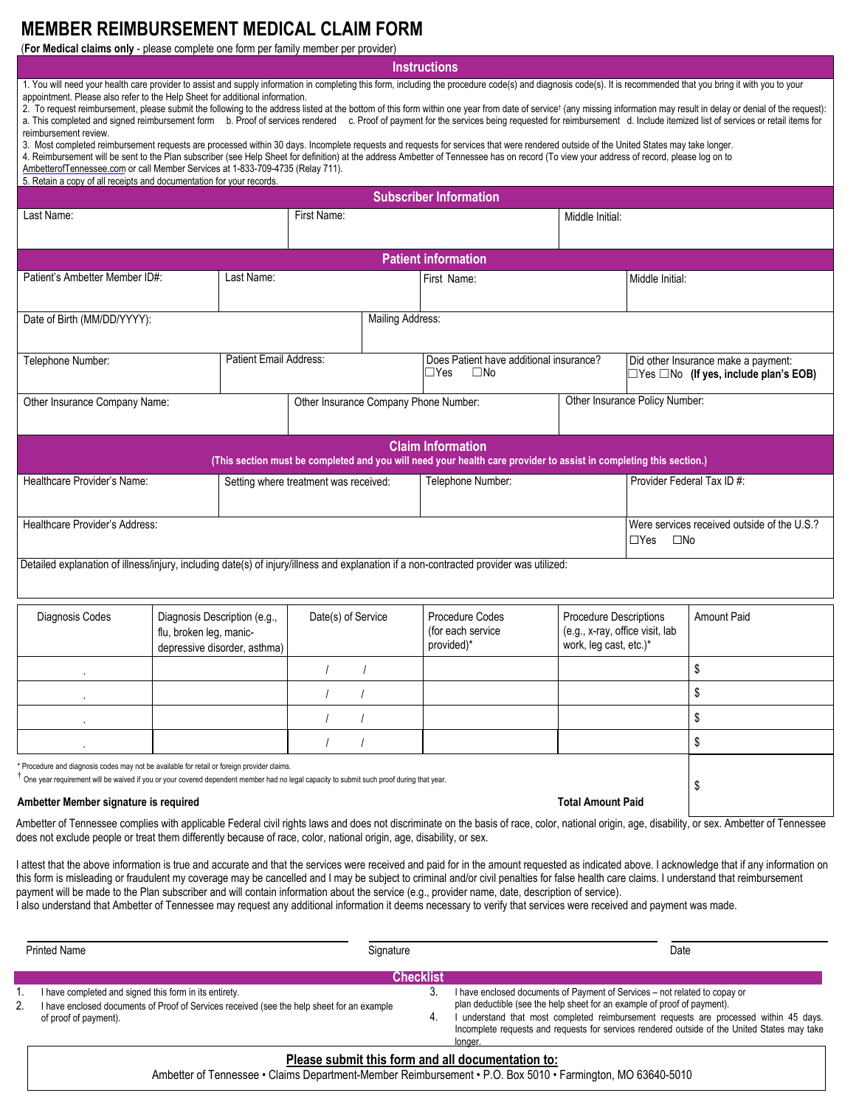## **MEMBER REIMBURSEMENT MEDICAL CLAIM FORM**

(**For Medical claims only** - please complete one form per family member per provider)

**Instructions**

1. You will need your health care provider to assist and supply information in completing this form, including the procedure code(s) and diagnosis code(s). It is recommended that you bring it with you to your appointment. Please also refer to the Help Sheet for additional information.

2. To request reimbursement, please submit the following to the address listed at the bottom of this form within one year from date of service† (any missing information may result in delay or denial of the request): a. This completed and signed reimbursement form b. Proof of services rendered c. Proof of payment for the services being requested for reimbursement d. Include itemized list of services or retail items for reimbursement review.

3. Most completed reimbursement requests are processed within 30 days. Incomplete requests and requests for services that were rendered outside of the United States may take longer.

4. Reimbursement will be sent to the Plan subscriber (see Help Sheet for definition) at the address Ambetter of Tennessee has on record (To view your address of record, please log on to

[AmbetterofTennessee.com](https://www.AmbetterofTennessee.com) or call Member Services at 1-833-709-4735 (Relay 711).

| 5. Retain a copy of all receipts and documentation for your records. |
|----------------------------------------------------------------------|
|----------------------------------------------------------------------|

| <b>Subscriber Information</b>                                                                                                                                                                                                                                                  |                                                                                         |  |                                       |                                                                       |                                                                                                                                                |                                                                                          |                                                                           |                    |
|--------------------------------------------------------------------------------------------------------------------------------------------------------------------------------------------------------------------------------------------------------------------------------|-----------------------------------------------------------------------------------------|--|---------------------------------------|-----------------------------------------------------------------------|------------------------------------------------------------------------------------------------------------------------------------------------|------------------------------------------------------------------------------------------|---------------------------------------------------------------------------|--------------------|
| Last Name:                                                                                                                                                                                                                                                                     |                                                                                         |  | First Name:                           |                                                                       |                                                                                                                                                | Middle Initial:                                                                          |                                                                           |                    |
|                                                                                                                                                                                                                                                                                |                                                                                         |  |                                       |                                                                       | <b>Patient information</b>                                                                                                                     |                                                                                          |                                                                           |                    |
| Patient's Ambetter Member ID#:<br>Last Name:                                                                                                                                                                                                                                   |                                                                                         |  |                                       |                                                                       | First Name:                                                                                                                                    |                                                                                          | Middle Initial:                                                           |                    |
| Date of Birth (MM/DD/YYYY):                                                                                                                                                                                                                                                    |                                                                                         |  |                                       | <b>Mailing Address:</b>                                               |                                                                                                                                                |                                                                                          |                                                                           |                    |
| Telephone Number:                                                                                                                                                                                                                                                              | Patient Email Address:                                                                  |  |                                       | Does Patient have additional insurance?<br>$\Box$ Yes<br>$\square$ No |                                                                                                                                                | Did other Insurance make a payment:<br>$\Box$ Yes $\Box$ No (If yes, include plan's EOB) |                                                                           |                    |
| Other Insurance Company Name:                                                                                                                                                                                                                                                  |                                                                                         |  |                                       | Other Insurance Company Phone Number:                                 |                                                                                                                                                | Other Insurance Policy Number:                                                           |                                                                           |                    |
|                                                                                                                                                                                                                                                                                |                                                                                         |  |                                       |                                                                       | <b>Claim Information</b><br>(This section must be completed and you will need your health care provider to assist in completing this section.) |                                                                                          |                                                                           |                    |
| Healthcare Provider's Name:                                                                                                                                                                                                                                                    |                                                                                         |  | Setting where treatment was received: |                                                                       | Telephone Number:                                                                                                                              |                                                                                          | Provider Federal Tax ID #:                                                |                    |
| Healthcare Provider's Address:                                                                                                                                                                                                                                                 |                                                                                         |  |                                       |                                                                       |                                                                                                                                                |                                                                                          | Were services received outside of the U.S.?<br>$\square$ No<br>$\Box$ Yes |                    |
| Detailed explanation of illness/injury, including date(s) of injury/illness and explanation if a non-contracted provider was utilized:                                                                                                                                         |                                                                                         |  |                                       |                                                                       |                                                                                                                                                |                                                                                          |                                                                           |                    |
| Diagnosis Codes                                                                                                                                                                                                                                                                | Diagnosis Description (e.g.,<br>flu, broken leg, manic-<br>depressive disorder, asthma) |  |                                       | Date(s) of Service                                                    | Procedure Codes<br>(for each service<br>provided)*                                                                                             | Procedure Descriptions<br>(e.g., x-ray, office visit, lab<br>work, leg cast, etc.)*      |                                                                           | <b>Amount Paid</b> |
|                                                                                                                                                                                                                                                                                |                                                                                         |  | $\overline{1}$                        |                                                                       |                                                                                                                                                |                                                                                          |                                                                           | \$                 |
|                                                                                                                                                                                                                                                                                |                                                                                         |  | $\prime$                              | $\prime$                                                              |                                                                                                                                                |                                                                                          |                                                                           | \$                 |
|                                                                                                                                                                                                                                                                                |                                                                                         |  | $\prime$                              | $\prime$                                                              |                                                                                                                                                |                                                                                          |                                                                           | \$                 |
|                                                                                                                                                                                                                                                                                |                                                                                         |  |                                       |                                                                       |                                                                                                                                                |                                                                                          |                                                                           | \$                 |
| Procedure and diagnosis codes may not be available for retail or foreign provider claims.<br>One year requirement will be waived if you or your covered dependent member had no legal capacity to submit such proof during that year.<br>Ambetter Member signature is required |                                                                                         |  |                                       |                                                                       |                                                                                                                                                | <b>Total Amount Paid</b>                                                                 |                                                                           | \$                 |
|                                                                                                                                                                                                                                                                                |                                                                                         |  |                                       |                                                                       |                                                                                                                                                |                                                                                          |                                                                           |                    |

Ambetter of Tennessee complies with applicable Federal civil rights laws and does not discriminate on the basis of race, color, national origin, age, disability, or sex. Ambetter of Tennessee does not exclude people or treat them differently because of race, color, national origin, age, disability, or sex.

I attest that the above information is true and accurate and that the services were received and paid for in the amount requested as indicated above. I acknowledge that if any information on this form is misleading or fraudulent my coverage may be cancelled and I may be subject to criminal and/or civil penalties for false health care claims. I understand that reimbursement payment will be made to the Plan subscriber and will contain information about the service (e.g., provider name, date, description of service).

I also understand that Ambetter of Tennessee may request any additional information it deems necessary to verify that services were received and payment was made.

| <b>Printed Name</b><br>Signature |                                                                                                                                                                               |                  | Date                                                                                                                                                                                                                                                                                                                                                     |
|----------------------------------|-------------------------------------------------------------------------------------------------------------------------------------------------------------------------------|------------------|----------------------------------------------------------------------------------------------------------------------------------------------------------------------------------------------------------------------------------------------------------------------------------------------------------------------------------------------------------|
|                                  |                                                                                                                                                                               | <b>Checklist</b> |                                                                                                                                                                                                                                                                                                                                                          |
| 2.                               | I have completed and signed this form in its entirety.<br>I have enclosed documents of Proof of Services received (see the help sheet for an example<br>of proof of payment). | 3                | I have enclosed documents of Payment of Services - not related to copay or<br>plan deductible (see the help sheet for an example of proof of payment).<br>understand that most completed reimbursement requests are processed within 45 days.<br>Incomplete requests and requests for services rendered outside of the United States may take<br>longer. |
|                                  | Please submit this form and all documentation to:                                                                                                                             |                  |                                                                                                                                                                                                                                                                                                                                                          |

## Ambetter of Tennessee • Claims Department-Member Reimbursement • P.O. Box 5010 • Farmington, MO 63640-5010